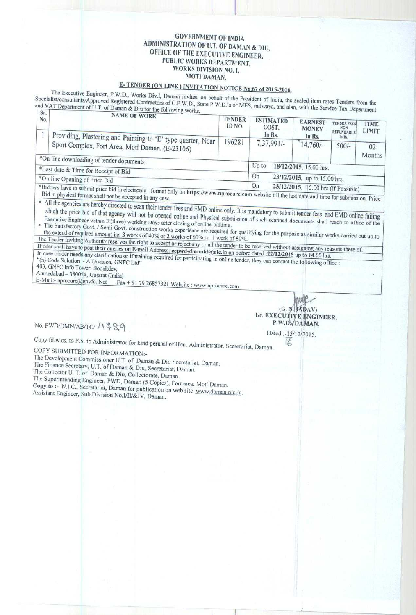## GOVERNMENT OF INDIA ADMINISTRATION OF U.T. OF DAMAN & DII', OFFICE OF THE EXECUTIVE ENGINEER, PUBLIC WORKS DEPARTMENT, WORKS DIVISION NO. 1, MOTI DAMAN.

## E- TENDER (ON LINE) INVITATION NOTICE No.67 of 2015-2016.

The Executive Engineer, P.W.D., Works Div.I, Daman invites, on behalf of the President of India, the sealed item rates Tenders from the Specialist/consultants/Approved Registered Contractors of C.P.W.D., State P.W.D.'s or MES, railways, and she sealed item rates Tenders from the and VAT Department of U.T. of Daman & Diu for the following works, **and F.W.D.**, s or MES, railways, and also, with the Service Tax Department **Ice** No. **ICEN ICE OF WORK** 

| No.                                                                              | NAME OF WORK<br>Providing, Plastering and Painting to 'E' type quarter, Near | <b>TENDER</b><br>ID NO.            | <b>ESTIMATED</b><br>COST.<br>In Rs.        | <b>EARNEST</b><br><b>MONEY</b><br>In Rs. | <b>TENDER FEES</b><br><b>NON</b><br>REFUNDABLE'<br>In Rs. | <b>TIME</b><br><b>LIMIT</b> |  |
|----------------------------------------------------------------------------------|------------------------------------------------------------------------------|------------------------------------|--------------------------------------------|------------------------------------------|-----------------------------------------------------------|-----------------------------|--|
|                                                                                  | Sport Complex, Fort Area, Moti Daman. (E-23106)                              | 196281                             | $7,37,991/-$                               | $14,760/-$                               | $500/-$                                                   | 02<br>Months                |  |
| *On line downloading of tender documents<br>*Last date & Time for Receipt of Bid |                                                                              | $Up$ to<br>18/12/2015, 15.00 hrs.  |                                            |                                          |                                                           |                             |  |
|                                                                                  | *On line Opening of Price Bid                                                | On<br>23/12/2015, up to 15.00 hrs. |                                            |                                          |                                                           |                             |  |
| *Bidders have to submit price hid in electronic format calving https://          |                                                                              |                                    | On<br>23/12/2015. 16.00 hrs. (if Possible) |                                          |                                                           |                             |  |

Bidders have to submit price bid in electronic format only on https://www.nprocure.com website till the last date and time for submission. Price Bid in physical format shall not be accepted in any case

• All the agencies are hereby directed to scan their tender fees and EMD online only. It is mandatory to submit tender fees and EMD online failing which the price bid of that agency will not be opened online and Physical submission of such scanned documents shall reach to office of the

the extend of required amount i.e. 3 works of 40% or 2 works of 60% or 1 works of 80% or 1 works of 80%.

The Tender Inviting Authority reserves the right to accept or reject any or all the tender to be received without assigning any reasons there of.<br>The Tender Inviting Authority reserves the right to accept or reject any or Bidder shall have to post their queries on E-mail Address: eepwd-dmn-dd@nic.in on before dated :22/12/2015 up to 14.00 hrs. In case bidder needs any clarification or if training required for participating in online tender, they can contact the following office :

403. GNFC Info Tower, Bodakdev,

Ahmedabad - 380054, Gujarat (India)<br>E-Mail:- nprocure@gnvfc. Net Fax

Fax + 91 79 26857321 Website : www.nprocure.com

**No. PWD/DMN/AB/TC/ 4 289** 

MWC  $(G. N. JADAV)$ I/c. EXECUTIV**E NGINEER,** P.W.Di/DAMAN,

Dated :-15/12/2015.

Copy fd.w.cs. to P.S. to Administrator for kind perusal of Hon. Administrator, Secretariat, Daman. <sup>16</sup>

COPY SUBMITTED FOR INFORMATION:-

The Development Commissioner U.T. of Daman & Diu Secretariat. Daman. The Finance Secretary, U.T. of Daman & Diu, Secretariat, Daman.

The Collector U. T. of Daman & Diu, Collectorate, Daman.

The Superintending Engineer, PWD, Daman (5 Copies), Fort area. Moti Daman.

Copy to :- N.I.C., Secretariat, Daman for publication on web site www.daman.nic.in. Assistant Engineer, Sub Division No.If11/&IV, Daman.